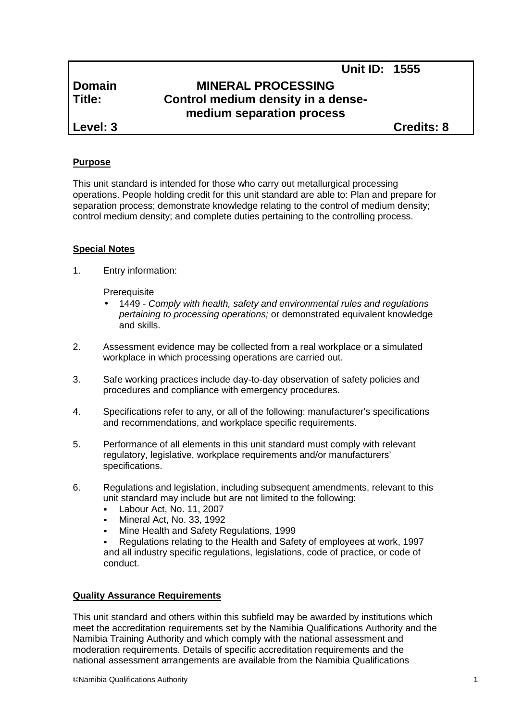# **Domain MINERAL PROCESSING Title: Control medium density in a dense medium separation process**

**Level: 3 Credits: 8**

**Unit ID: 1555**

## **Purpose**

This unit standard is intended for those who carry out metallurgical processing operations. People holding credit for this unit standard are able to: Plan and prepare for separation process; demonstrate knowledge relating to the control of medium density; control medium density; and complete duties pertaining to the controlling process.

# **Special Notes**

1. Entry information:

**Prerequisite** 

- 1449 *- Comply with health, safety and environmental rules and regulations pertaining to processing operations;* or demonstrated equivalent knowledge and skills.
- 2. Assessment evidence may be collected from a real workplace or a simulated workplace in which processing operations are carried out.
- 3. Safe working practices include day-to-day observation of safety policies and procedures and compliance with emergency procedures.
- 4. Specifications refer to any, or all of the following: manufacturer's specifications and recommendations, and workplace specific requirements.
- 5. Performance of all elements in this unit standard must comply with relevant regulatory, legislative, workplace requirements and/or manufacturers' specifications.
- 6. Regulations and legislation, including subsequent amendments, relevant to this unit standard may include but are not limited to the following:
	- Labour Act, No. 11, 2007
	- Mineral Act, No. 33, 1992
	- Mine Health and Safety Regulations, 1999

 Regulations relating to the Health and Safety of employees at work, 1997 and all industry specific regulations, legislations, code of practice, or code of conduct.

#### **Quality Assurance Requirements**

This unit standard and others within this subfield may be awarded by institutions which meet the accreditation requirements set by the Namibia Qualifications Authority and the Namibia Training Authority and which comply with the national assessment and moderation requirements. Details of specific accreditation requirements and the national assessment arrangements are available from the Namibia Qualifications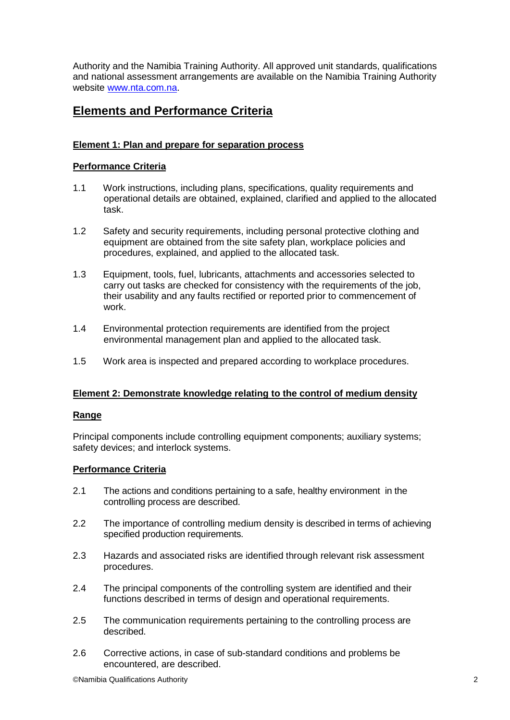Authority and the Namibia Training Authority. All approved unit standards, qualifications and national assessment arrangements are available on the Namibia Training Authority website www.nta.com.na.

# **Elements and Performance Criteria**

## **Element 1: Plan and prepare for separation process**

### **Performance Criteria**

- 1.1 Work instructions, including plans, specifications, quality requirements and operational details are obtained, explained, clarified and applied to the allocated task.
- 1.2 Safety and security requirements, including personal protective clothing and equipment are obtained from the site safety plan, workplace policies and procedures, explained, and applied to the allocated task.
- 1.3 Equipment, tools, fuel, lubricants, attachments and accessories selected to carry out tasks are checked for consistency with the requirements of the job, their usability and any faults rectified or reported prior to commencement of work.
- 1.4 Environmental protection requirements are identified from the project environmental management plan and applied to the allocated task.
- 1.5 Work area is inspected and prepared according to workplace procedures.

#### **Element 2: Demonstrate knowledge relating to the control of medium density**

#### **Range**

Principal components include controlling equipment components; auxiliary systems; safety devices; and interlock systems.

#### **Performance Criteria**

- 2.1 The actions and conditions pertaining to a safe, healthy environment in the controlling process are described.
- 2.2 The importance of controlling medium density is described in terms of achieving specified production requirements.
- 2.3 Hazards and associated risks are identified through relevant risk assessment procedures.
- 2.4 The principal components of the controlling system are identified and their functions described in terms of design and operational requirements.
- 2.5 The communication requirements pertaining to the controlling process are described.
- 2.6 Corrective actions, in case of sub-standard conditions and problems be encountered, are described.